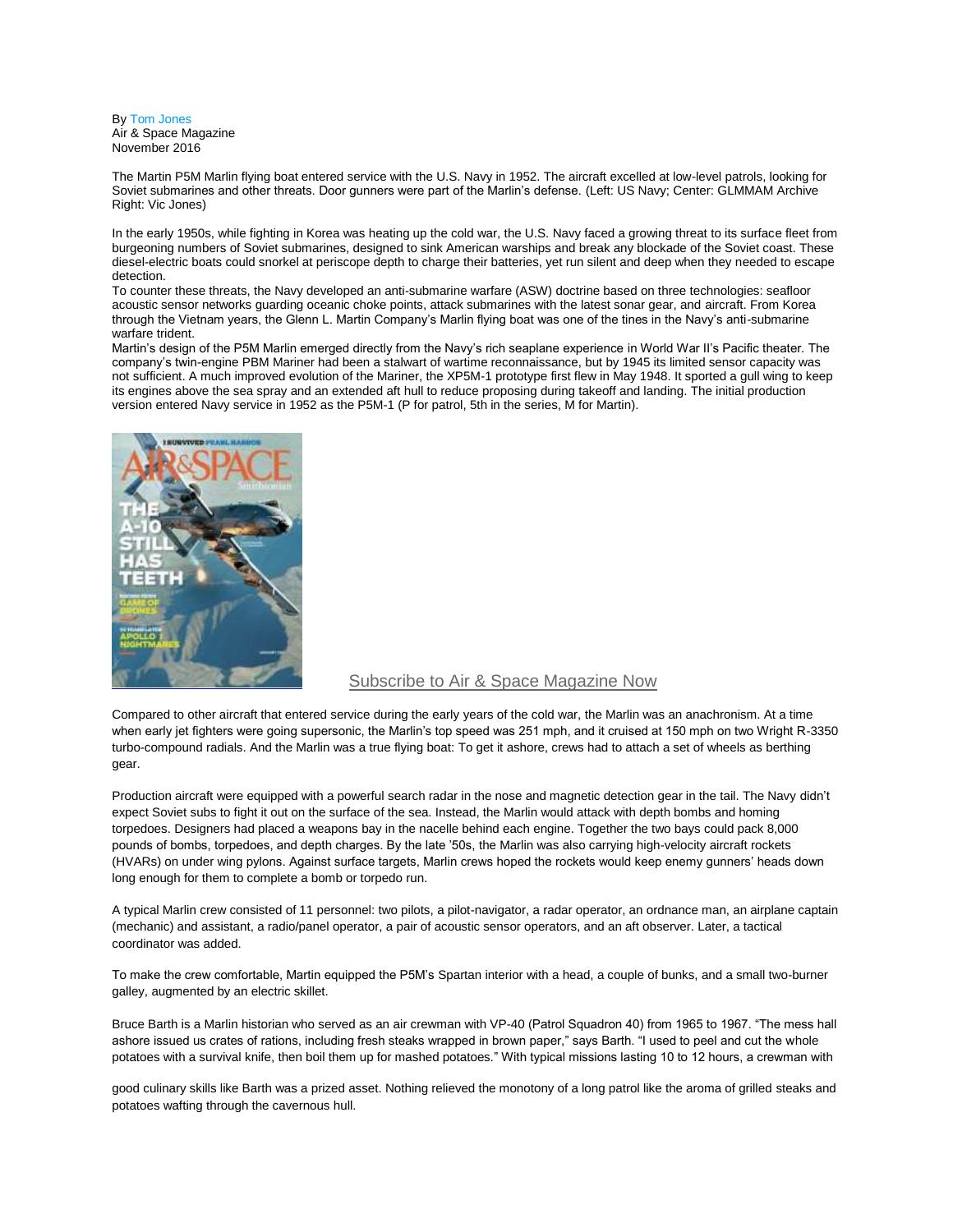By [Tom Jones](http://www.airspacemag.com/author/tom-jones/) Air & Space Magazine November 2016

The Martin P5M Marlin flying boat entered service with the U.S. Navy in 1952. The aircraft excelled at low-level patrols, looking for Soviet submarines and other threats. Door gunners were part of the Marlin's defense. (Left: US Navy; Center: GLMMAM Archive Right: Vic Jones)

In the early 1950s, while fighting in Korea was heating up the cold war, the U.S. Navy faced a growing threat to its surface fleet from burgeoning numbers of Soviet submarines, designed to sink American warships and break any blockade of the Soviet coast. These diesel-electric boats could snorkel at periscope depth to charge their batteries, yet run silent and deep when they needed to escape detection.

To counter these threats, the Navy developed an anti-submarine warfare (ASW) doctrine based on three technologies: seafloor acoustic sensor networks guarding oceanic choke points, attack submarines with the latest sonar gear, and aircraft. From Korea through the Vietnam years, the Glenn L. Martin Company's Marlin flying boat was one of the tines in the Navy's anti-submarine warfare trident.

Martin's design of the P5M Marlin emerged directly from the Navy's rich seaplane experience in World War II's Pacific theater. The company's twin-engine PBM Mariner had been a stalwart of wartime reconnaissance, but by 1945 its limited sensor capacity was not sufficient. A much improved evolution of the Mariner, the XP5M-1 prototype first flew in May 1948. It sported a gull wing to keep its engines above the sea spray and an extended aft hull to reduce proposing during takeoff and landing. The initial production version entered Navy service in 1952 as the P5M-1 (P for patrol, 5th in the series, M for Martin).



## [Subscribe to Air & Space Magazine Now](https://subscribe.airspacemag.com/airspace.php?idx=240&inetz=article-text-link-L-C&ipromo=%7Cperm%7Csub%7C54pct%7Ctext%7C%7Cblue%7C%7Cprice-ctrl)

Compared to other aircraft that entered service during the early years of the cold war, the Marlin was an anachronism. At a time when early jet fighters were going supersonic, the Marlin's top speed was 251 mph, and it cruised at 150 mph on two Wright R-3350 turbo-compound radials. And the Marlin was a true flying boat: To get it ashore, crews had to attach a set of wheels as berthing gear.

Production aircraft were equipped with a powerful search radar in the nose and magnetic detection gear in the tail. The Navy didn't expect Soviet subs to fight it out on the surface of the sea. Instead, the Marlin would attack with depth bombs and homing torpedoes. Designers had placed a weapons bay in the nacelle behind each engine. Together the two bays could pack 8,000 pounds of bombs, torpedoes, and depth charges. By the late '50s, the Marlin was also carrying high-velocity aircraft rockets (HVARs) on under wing pylons. Against surface targets, Marlin crews hoped the rockets would keep enemy gunners' heads down long enough for them to complete a bomb or torpedo run.

A typical Marlin crew consisted of 11 personnel: two pilots, a pilot-navigator, a radar operator, an ordnance man, an airplane captain (mechanic) and assistant, a radio/panel operator, a pair of acoustic sensor operators, and an aft observer. Later, a tactical coordinator was added.

To make the crew comfortable, Martin equipped the P5M's Spartan interior with a head, a couple of bunks, and a small two-burner galley, augmented by an electric skillet.

Bruce Barth is a Marlin historian who served as an air crewman with VP-40 (Patrol Squadron 40) from 1965 to 1967. "The mess hall ashore issued us crates of rations, including fresh steaks wrapped in brown paper," says Barth. "I used to peel and cut the whole potatoes with a survival knife, then boil them up for mashed potatoes." With typical missions lasting 10 to 12 hours, a crewman with

good culinary skills like Barth was a prized asset. Nothing relieved the monotony of a long patrol like the aroma of grilled steaks and potatoes wafting through the cavernous hull.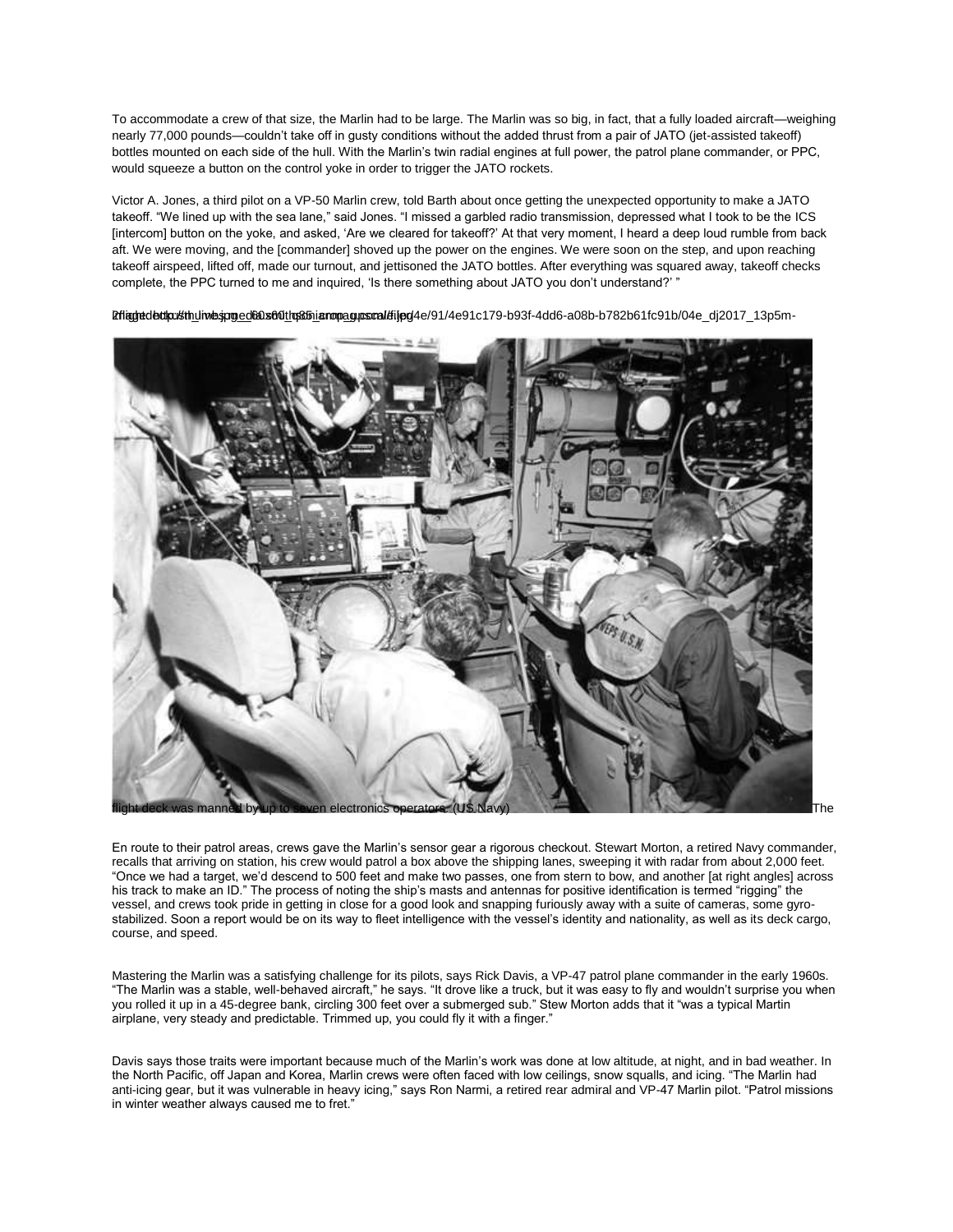To accommodate a crew of that size, the Marlin had to be large. The Marlin was so big, in fact, that a fully loaded aircraft—weighing nearly 77,000 pounds—couldn't take off in gusty conditions without the added thrust from a pair of JATO (jet-assisted takeoff) bottles mounted on each side of the hull. With the Marlin's twin radial engines at full power, the patrol plane commander, or PPC, would squeeze a button on the control yoke in order to trigger the JATO rockets.

Victor A. Jones, a third pilot on a VP-50 Marlin crew, told Barth about once getting the unexpected opportunity to make a JATO takeoff. "We lined up with the sea lane," said Jones. "I missed a garbled radio transmission, depressed what I took to be the ICS [intercom] button on the yoke, and asked, 'Are we cleared for takeoff?' At that very moment, I heard a deep loud rumble from back aft. We were moving, and the [commander] shoved up the power on the engines. We were soon on the step, and upon reaching takeoff airspeed, lifted off, made our turnout, and jettisoned the JATO bottles. After everything was squared away, takeoff checks complete, the PPC turned to me and inquired, 'Is there something about JATO you don't understand?' "



Britaghedeckpusthuliwes.pro.ed6a.sfolthas.fhigarompa.qupscal/stipg/4e/91/4e91c179-b93f-4dd6-a08b-b782b61fc91b/04e\_dj2017\_13p5m-

En route to their patrol areas, crews gave the Marlin's sensor gear a rigorous checkout. Stewart Morton, a retired Navy commander, recalls that arriving on station, his crew would patrol a box above the shipping lanes, sweeping it with radar from about 2,000 feet. "Once we had a target, we'd descend to 500 feet and make two passes, one from stern to bow, and another [at right angles] across his track to make an ID." The process of noting the ship's masts and antennas for positive identification is termed "rigging" the vessel, and crews took pride in getting in close for a good look and snapping furiously away with a suite of cameras, some gyrostabilized. Soon a report would be on its way to fleet intelligence with the vessel's identity and nationality, as well as its deck cargo, course, and speed.

Mastering the Marlin was a satisfying challenge for its pilots, says Rick Davis, a VP-47 patrol plane commander in the early 1960s. "The Marlin was a stable, well-behaved aircraft," he says. "It drove like a truck, but it was easy to fly and wouldn't surprise you when you rolled it up in a 45-degree bank, circling 300 feet over a submerged sub." Stew Morton adds that it "was a typical Martin airplane, very steady and predictable. Trimmed up, you could fly it with a finger."

Davis says those traits were important because much of the Marlin's work was done at low altitude, at night, and in bad weather. In the North Pacific, off Japan and Korea, Marlin crews were often faced with low ceilings, snow squalls, and icing. "The Marlin had anti-icing gear, but it was vulnerable in heavy icing," says Ron Narmi, a retired rear admiral and VP-47 Marlin pilot. "Patrol missions in winter weather always caused me to fret."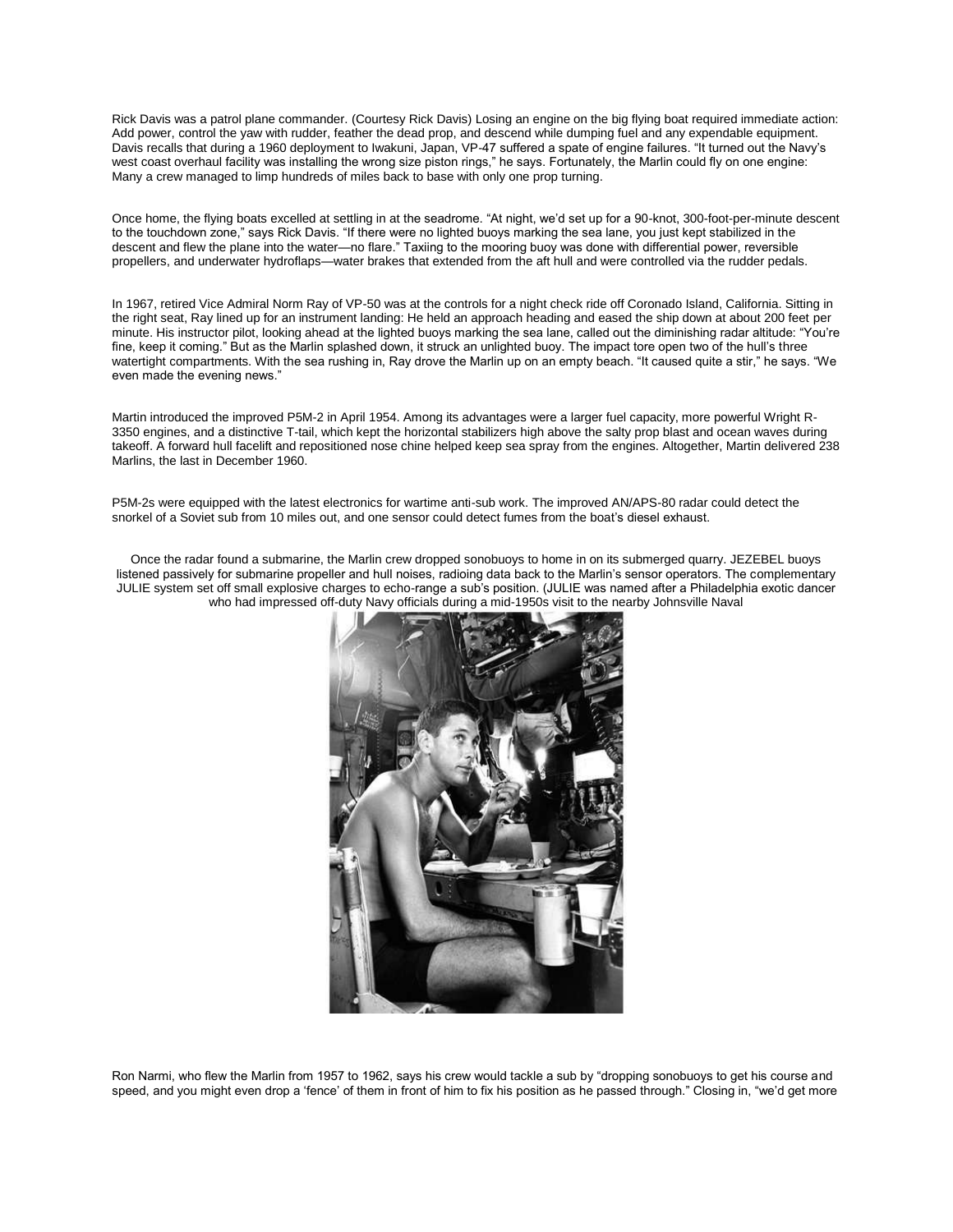Rick Davis was a patrol plane commander. (Courtesy Rick Davis) Losing an engine on the big flying boat required immediate action: Add power, control the yaw with rudder, feather the dead prop, and descend while dumping fuel and any expendable equipment. Davis recalls that during a 1960 deployment to Iwakuni, Japan, VP-47 suffered a spate of engine failures. "It turned out the Navy's west coast overhaul facility was installing the wrong size piston rings," he says. Fortunately, the Marlin could fly on one engine: Many a crew managed to limp hundreds of miles back to base with only one prop turning.

Once home, the flying boats excelled at settling in at the seadrome. "At night, we'd set up for a 90-knot, 300-foot-per-minute descent to the touchdown zone," says Rick Davis. "If there were no lighted buoys marking the sea lane, you just kept stabilized in the descent and flew the plane into the water—no flare." Taxiing to the mooring buoy was done with differential power, reversible propellers, and underwater hydroflaps—water brakes that extended from the aft hull and were controlled via the rudder pedals.

In 1967, retired Vice Admiral Norm Ray of VP-50 was at the controls for a night check ride off Coronado Island, California. Sitting in the right seat, Ray lined up for an instrument landing: He held an approach heading and eased the ship down at about 200 feet per minute. His instructor pilot, looking ahead at the lighted buoys marking the sea lane, called out the diminishing radar altitude: "You're fine, keep it coming." But as the Marlin splashed down, it struck an unlighted buoy. The impact tore open two of the hull's three watertight compartments. With the sea rushing in, Ray drove the Marlin up on an empty beach. "It caused quite a stir," he says. "We even made the evening news."

Martin introduced the improved P5M-2 in April 1954. Among its advantages were a larger fuel capacity, more powerful Wright R-3350 engines, and a distinctive T-tail, which kept the horizontal stabilizers high above the salty prop blast and ocean waves during takeoff. A forward hull facelift and repositioned nose chine helped keep sea spray from the engines. Altogether, Martin delivered 238 Marlins, the last in December 1960.

P5M-2s were equipped with the latest electronics for wartime anti-sub work. The improved AN/APS-80 radar could detect the snorkel of a Soviet sub from 10 miles out, and one sensor could detect fumes from the boat's diesel exhaust.

Once the radar found a submarine, the Marlin crew dropped sonobuoys to home in on its submerged quarry. JEZEBEL buoys listened passively for submarine propeller and hull noises, radioing data back to the Marlin's sensor operators. The complementary JULIE system set off small explosive charges to echo-range a sub's position. (JULIE was named after a Philadelphia exotic dancer who had impressed off-duty Navy officials during a mid-1950s visit to the nearby Johnsville Naval



Ron Narmi, who flew the Marlin from 1957 to 1962, says his crew would tackle a sub by "dropping sonobuoys to get his course and speed, and you might even drop a 'fence' of them in front of him to fix his position as he passed through." Closing in, "we'd get more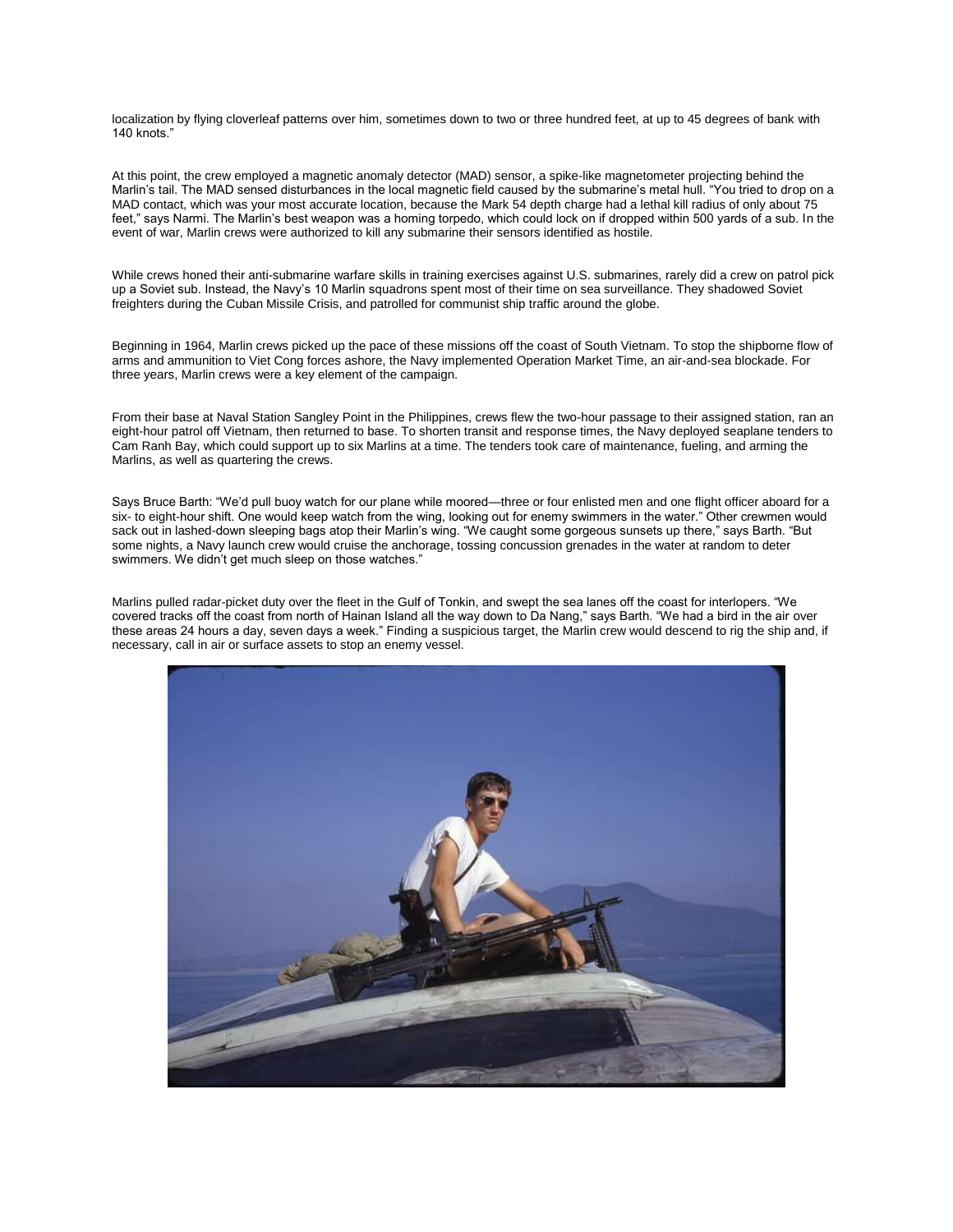localization by flying cloverleaf patterns over him, sometimes down to two or three hundred feet, at up to 45 degrees of bank with 140 knots."

At this point, the crew employed a magnetic anomaly detector (MAD) sensor, a spike-like magnetometer projecting behind the Marlin's tail. The MAD sensed disturbances in the local magnetic field caused by the submarine's metal hull. "You tried to drop on a MAD contact, which was your most accurate location, because the Mark 54 depth charge had a lethal kill radius of only about 75 feet," says Narmi. The Marlin's best weapon was a homing torpedo, which could lock on if dropped within 500 yards of a sub. In the event of war, Marlin crews were authorized to kill any submarine their sensors identified as hostile.

While crews honed their anti-submarine warfare skills in training exercises against U.S. submarines, rarely did a crew on patrol pick up a Soviet sub. Instead, the Navy's 10 Marlin squadrons spent most of their time on sea surveillance. They shadowed Soviet freighters during the Cuban Missile Crisis, and patrolled for communist ship traffic around the globe.

Beginning in 1964, Marlin crews picked up the pace of these missions off the coast of South Vietnam. To stop the shipborne flow of arms and ammunition to Viet Cong forces ashore, the Navy implemented Operation Market Time, an air-and-sea blockade. For three years, Marlin crews were a key element of the campaign.

From their base at Naval Station Sangley Point in the Philippines, crews flew the two-hour passage to their assigned station, ran an eight-hour patrol off Vietnam, then returned to base. To shorten transit and response times, the Navy deployed seaplane tenders to Cam Ranh Bay, which could support up to six Marlins at a time. The tenders took care of maintenance, fueling, and arming the Marlins, as well as quartering the crews.

Says Bruce Barth: "We'd pull buoy watch for our plane while moored—three or four enlisted men and one flight officer aboard for a six- to eight-hour shift. One would keep watch from the wing, looking out for enemy swimmers in the water." Other crewmen would sack out in lashed-down sleeping bags atop their Marlin's wing. "We caught some gorgeous sunsets up there," says Barth. "But some nights, a Navy launch crew would cruise the anchorage, tossing concussion grenades in the water at random to deter swimmers. We didn't get much sleep on those watches."

Marlins pulled radar-picket duty over the fleet in the Gulf of Tonkin, and swept the sea lanes off the coast for interlopers. "We covered tracks off the coast from north of Hainan Island all the way down to Da Nang," says Barth. "We had a bird in the air over these areas 24 hours a day, seven days a week." Finding a suspicious target, the Marlin crew would descend to rig the ship and, if necessary, call in air or surface assets to stop an enemy vessel.

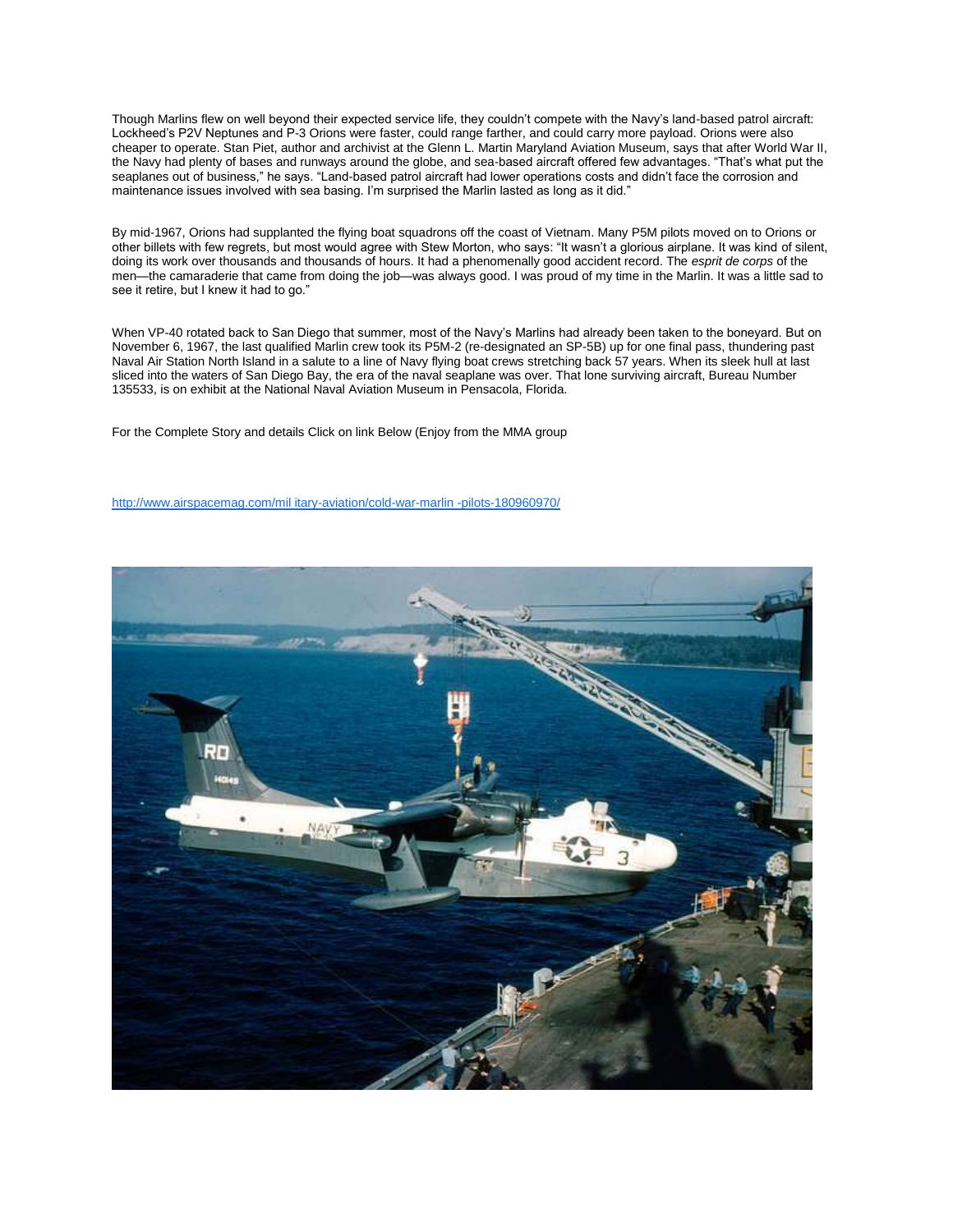Though Marlins flew on well beyond their expected service life, they couldn't compete with the Navy's land-based patrol aircraft: Lockheed's P2V Neptunes and P-3 Orions were faster, could range farther, and could carry more payload. Orions were also cheaper to operate. Stan Piet, author and archivist at the Glenn L. Martin Maryland Aviation Museum, says that after World War II, the Navy had plenty of bases and runways around the globe, and sea-based aircraft offered few advantages. "That's what put the seaplanes out of business," he says. "Land-based patrol aircraft had lower operations costs and didn't face the corrosion and maintenance issues involved with sea basing. I'm surprised the Marlin lasted as long as it did."

By mid-1967, Orions had supplanted the flying boat squadrons off the coast of Vietnam. Many P5M pilots moved on to Orions or other billets with few regrets, but most would agree with Stew Morton, who says: "It wasn't a glorious airplane. It was kind of silent, doing its work over thousands and thousands of hours. It had a phenomenally good accident record. The *esprit de corps* of the men—the camaraderie that came from doing the job—was always good. I was proud of my time in the Marlin. It was a little sad to see it retire, but I knew it had to go."

When VP-40 rotated back to San Diego that summer, most of the Navy's Marlins had already been taken to the boneyard. But on November 6, 1967, the last qualified Marlin crew took its P5M-2 (re-designated an SP-5B) up for one final pass, thundering past Naval Air Station North Island in a salute to a line of Navy flying boat crews stretching back 57 years. When its sleek hull at last sliced into the waters of San Diego Bay, the era of the naval seaplane was over. That lone surviving aircraft, Bureau Number 135533, is on exhibit at the National Naval Aviation Museum in Pensacola, Florida.

For the Complete Story and details Click on link Below (Enjoy from the MMA group

[http://www.airspacemag.com/mil itary-aviation/cold-war-marlin -pilots-180960970/](http://www.airspacemag.com/military-aviation/cold-war-marlin-pilots-180960970/)